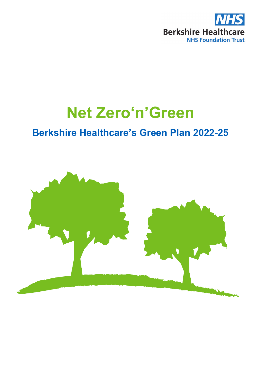

# **Net Zero'n'Green**

# **Berkshire Healthcare's Green Plan 2022-25**

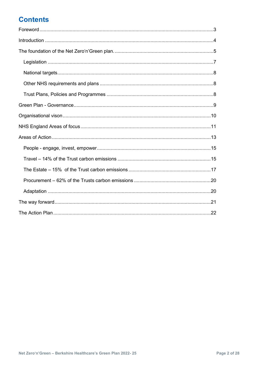# **Contents**

<span id="page-1-0"></span>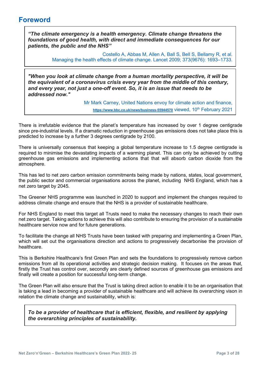# **Foreword**

*"The climate emergency is a health emergency. Climate change threatens the foundations of good health, with direct and immediate consequences for our patients, the public and the NHS"*

> Costello A, Abbas M, Allen A, Ball S, Bell S, Bellamy R, et al. Managing the health effects of climate change. Lancet 2009; 373(9676): 1693–1733.

*"When you look at climate change from a human mortality perspective, it will be the equivalent of a coronavirus crisis every year from the middle of this century, and every year, not just a one-off event. So, it is an issue that needs to be addressed now."*

> Mr Mark Carney, United Nations envoy for climate action and finance, <https://www.bbc.co.uk/news/business-55944570> viewed, 10<sup>th</sup> February 2021

There is irrefutable evidence that the planet's temperature has increased by over 1 degree centigrade since pre-industrial levels. If a dramatic reduction in greenhouse gas emissions does not take place this is predicted to increase by a further 3 degrees centigrade by 2100.

There is universally consensus that keeping a global temperature increase to 1.5 degree centigrade is required to minimise the devastating impacts of a warming planet. This can only be achieved by cutting greenhouse gas emissions and implementing actions that that will absorb carbon dioxide from the atmosphere.

This has led to net zero carbon emission commitments being made by nations, states, local government, the public sector and commercial organisations across the planet, including NHS England, which has a net zero target by 2045.

The Greener NHS programme was launched in 2020 to support and implement the changes required to address climate change and ensure that the NHS is a provider of sustainable healthcare.

For NHS England to meet this target all Trusts need to make the necessary changes to reach their own net zero target. Taking actions to achieve this will also contribute to ensuring the provision of a sustainable healthcare service now and for future generations.

To facilitate the change all NHS Trusts have been tasked with preparing and implementing a Green Plan, which will set out the organisations direction and actions to progressively decarbonise the provision of healthcare.

This is Berkshire Healthcare's first Green Plan and sets the foundations to progressively remove carbon emissions from all its operational activities and strategic decision making. It focuses on the areas that, firstly the Trust has control over, secondly are clearly defined sources of greenhouse gas emissions and finally will create a position for successful long-term change.

The Green Plan will also ensure that the Trust is taking direct action to enable it to be an organisation that is taking a lead in becoming a provider of sustainable healthcare and will achieve its overarching vison in relation the climate change and sustainability, which is:

<span id="page-2-0"></span>*To be a provider of healthcare that is efficient, flexible, and resilient by applying the overarching principles of sustainability.*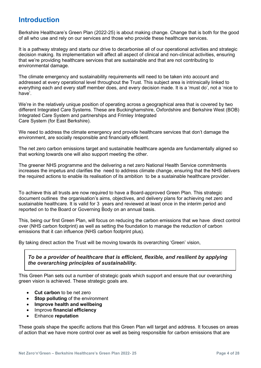# **Introduction**

Berkshire Healthcare's Green Plan (2022-25) is about making change. Change that is both for the good of all who use and rely on our services and those who provide these healthcare services.

It is a pathway strategy and starts our drive to decarbonise all of our operational activities and strategic decision making. Its implementation will affect all aspect of clinical and non-clinical activities, ensuring that we're providing healthcare services that are sustainable and that are not contributing to environmental damage.

The climate emergency and sustainability requirements will need to be taken into account and addressed at every operational level throughout the Trust. This subject area is intrinsically linked to everything each and every staff member does, and every decision made. It is a 'must do', not a 'nice to have'.

We're in the relatively unique position of operating across a geographical area that is covered by two different Integrated Care Systems. These are Buckinghamshire, Oxfordshire and Berkshire West (BOB) Integrated Care System and partnerships and Frimley Integrated Care System (for East Berkshire).

We need to address the climate emergency and provide healthcare services that don't damage the environment, are socially responsible and financially efficient.

The net zero carbon emissions target and sustainable healthcare agenda are fundamentally aligned so that working towards one will also support meeting the other.

The greener NHS programme and the delivering a net zero National Health Service commitments increases the impetus and clarifies the need to address climate change, ensuring that the NHS delivers the required actions to enable its realisation of its ambition to be a sustainable healthcare provider.

To achieve this all trusts are now required to have a Board-approved Green Plan. This strategic document outlines the organisation's aims, objectives, and delivery plans for achieving net zero and sustainable healthcare. It is valid for 3 years and reviewed at least once in the interim period and reported on to the Board or Governing Body on an annual basis.

This, being our first Green Plan, will focus on reducing the carbon emissions that we have direct control over (NHS carbon footprint) as well as setting the foundation to manage the reduction of carbon emissions that it can influence (NHS carbon footprint plus).

By taking direct action the Trust will be moving towards its overarching 'Green' vision,

*To be a provider of healthcare that is efficient, flexible, and resilient by applying the overarching principles of sustainability.*

This Green Plan sets out a number of strategic goals which support and ensure that our overarching green vision is achieved. These strategic goals are.

- **Cut carbon** to be net zero
- **Stop polluting** of the environment
- **Improve health and wellbeing**
- Improve **financial efficiency**
- Enhance **reputation**

These goals shape the specific actions that this Green Plan will target and address. It focuses on areas of action that we have more control over as well as being responsible for carbon emissions that are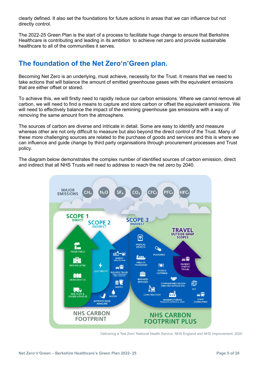clearly defined. It also set the foundations for future actions in areas that we can influence but not directly control.

The 2022-25 Green Plan is the start of a process to facilitate huge change to ensure that Berkshire Healthcare is contributing and leading in its ambition to achieve net zero and provide sustainable healthcare to all of the communities it serves.

# <span id="page-4-0"></span>**The foundation of the Net Zero'n'Green plan.**

Becoming Net Zero is an underlying, must achieve, necessity for the Trust. It means that we need to take actions that will balance the amount of emitted greenhouse gases with the equivalent emissions that are either offset or stored.

To achieve this, we will firstly need to rapidly reduce our carbon emissions. Where we cannot remove all carbon, we will need to find a means to capture and store carbon or offset the equivalent emissions. We will need to effectively balance the impact of the remining greenhouse gas emissions with a way of removing the same amount from the atmosphere.

The sources of carbon are diverse and intricate in detail. Some are easy to identify and measure whereas other are not only difficult to measure but also beyond the direct control of the Trust. Many of these more challenging sources are related to the purchase of goods and services and this is where we can influence and guide change by third party organisations through procurement processes and Trust policy.

The diagram below demonstrates the complex number of identified sources of carbon emission, direct and indirect that all NHS Trusts will need to address to reach the net zero by 2040.



Delivering a 'Net Zero' National Health Service, NHS England and NHS Improvement, 2020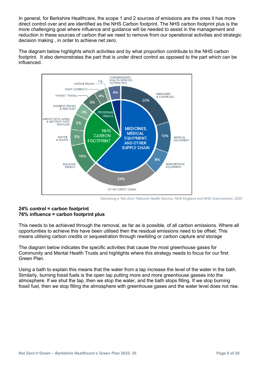In general, for Berkshire Healthcare, the scope 1 and 2 sources of emissions are the ones it has more direct control over and are identified as the NHS Carbon footprint. The NHS carbon footprint plus is the more challenging goal where influence and guidance will be needed to assist in the management and reduction in these sources of carbon that we need to remove from our operational activities and strategic decision making , in order to achieve net zero.

The diagram below highlights which activities and by what proportion contribute to the NHS carbon footprint. It also demonstrates the part that is under direct control as opposed to the part which can be influenced.



Delivering a 'Net Zero' National Health Service, NHS England and NHS Improvement, 2020

#### **24% control = carbon footprint 76% influence = carbon footprint plus**

This needs to be achieved through the removal, as far as is possible, of all carbon emissions. Where all opportunities to achieve this have been utilised then the residual emissions need to be offset. This means utilising carbon credits or sequestration through rewilding or carbon capture and storage

The diagram below indicates the specific activities that cause the most greenhouse gases for Community and Mental Health Trusts and highlights where this strategy needs to focus for our first Green Plan.

Using a bath to explain this means that the water from a tap increase the level of the water in the bath. Similarly, burning fossil fuels is the open tap putting more and more greenhouse gasses into the atmosphere. If we shut the tap, then we stop the water, and the bath stops filling. If we stop burning fossil fuel, then we stop filling the atmosphere with greenhouse gases and the water level does not rise.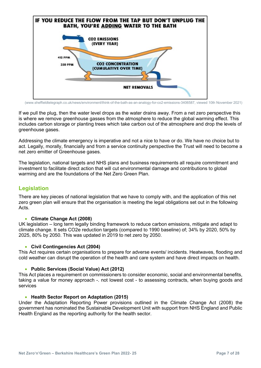

[\(www.sheffieldtelegraph.co.uk/news/environment/think-of-the-bath-as-an-analogy-for-co2-emissions-3406587,](https://www.sheffieldtelegraph.co.uk/news/environment/think-of-the-bath-as-an-analogy-for-co2-emissions-3406587) viewed 10th November 2021)

If we pull the plug, then the water level drops as the water drains away. From a net zero perspective this is where we remove greenhouse gasses from the atmosphere to reduce the global warming effect. This includes carbon storage or planting trees which take carbon out of the atmosphere and drop the levels of greenhouse gases.

Addressing the climate emergency is imperative and not a nice to have or do. We have no choice but to act. Legally, morally, financially and from a service continuity perspective the Trust will need to become a net zero emitter of Greenhouse gases.

The legislation, national targets and NHS plans and business requirements all require commitment and investment to facilitate direct action that will cut environmental damage and contributions to global warming and are the foundations of the Net Zero Green Plan.

# <span id="page-6-0"></span>**Legislation**

There are key pieces of national legislation that we have to comply with, and the application of this net zero green plan will ensure that the organisation is meeting the legal obligations set out in the following Acts.

### • **Climate Change Act (2008)**

UK legislation – long term legally binding framework to reduce carbon emissions, mitigate and adapt to climate change. It sets CO2e reduction targets (compared to 1990 baseline) of; 34% by 2020, 50% by 2025, 80% by 2050. This was updated in 2019 to net zero by 2050.

### • **Civil Contingencies Act (2004)**

This Act requires certain organisations to prepare for adverse events/ incidents. Heatwaves, flooding and cold weather can disrupt the operation of the health and care system and have direct impacts on health.

### • **Public Services (Social Value) Act (2012)**

This Act places a requirement on commissioners to consider economic, social and environmental benefits, taking a value for money approach -. not lowest cost - to assessing contracts, when buying goods and services

#### • **Health Sector Report on Adaptation (2015)**

Under the Adaptation Reporting Power provisions outlined in the Climate Change Act (2008) the government has nominated the Sustainable Development Unit with support from NHS England and Public Health England as the reporting authority for the health sector.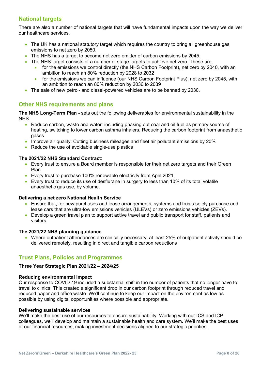# <span id="page-7-0"></span>**National targets**

There are also a number of national targets that will have fundamental impacts upon the way we deliver our healthcare services.

- The UK has a national statutory target which requires the country to bring all greenhouse gas emissions to net zero by 2050.
- The NHS has a target to become net zero emitter of carbon emissions by 2045.
- The NHS target consists of a number of stage targets to achieve net zero. These are,
	- for the emissions we control directly (the NHS Carbon Footprint), net zero by 2040, with an ambition to reach an 80% reduction by 2028 to 2032
	- for the emissions we can influence (our NHS Carbon Footprint Plus), net zero by 2045, with an ambition to reach an 80% reduction by 2036 to 2039
- The sale of new petrol- and diesel-powered vehicles are to be banned by 2030.

# <span id="page-7-1"></span>**Other NHS requirements and plans**

**The NHS Long-Term Plan -** sets out the following deliverables for environmental sustainability in the NHS.

- Reduce carbon, waste and water: including phasing out coal and oil fuel as primary source of heating, switching to lower carbon asthma inhalers, Reducing the carbon footprint from anaesthetic gases
- Improve air quality: Cutting business mileages and fleet air pollutant emissions by 20%
- Reduce the use of avoidable single-use plastics

#### **The 2021/22 NHS Standard Contract**:

- Every trust to ensure a Board member is responsible for their net zero targets and their Green Plan.
- Every trust to purchase 100% renewable electricity from April 2021.
- Every trust to reduce its use of desflurane in surgery to less than 10% of its total volatile anaesthetic gas use, by volume.

#### **Delivering a net zero National Health Service**

- Ensure that, for new purchases and lease arrangements, systems and trusts solely purchase and lease cars that are ultra-low emissions vehicles (ULEVs) or zero emissions vehicles (ZEVs).
- Develop a green travel plan to support active travel and public transport for staff, patients and visitors.

#### **The 2021/22 NHS planning guidance**

• Where outpatient attendances are clinically necessary, at least 25% of outpatient activity should be delivered remotely, resulting in direct and tangible carbon reductions

# <span id="page-7-2"></span>**Trust Plans, Policies and Programmes**

#### **Three Year Strategic Plan 2021/22 – 2024/25**

#### **Reducing environmental impact**

Our response to COVID-19 included a substantial shift in the number of patients that no longer have to travel to clinics. This created a significant drop in our carbon footprint through reduced travel and reduced paper and office waste. We'll continue to keep our impact on the environment as low as possible by using digital opportunities where possible and appropriate.

#### **Delivering sustainable services**

We'll make the best use of our resources to ensure sustainability. Working with our ICS and ICP colleagues, we'll develop and maintain a sustainable health and care system. We'll make the best uses of our financial resources, making investment decisions aligned to our strategic priorities.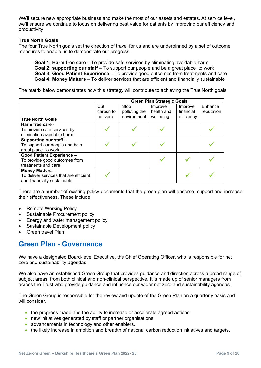We'll secure new appropriate business and make the most of our assets and estates. At service level, we'll ensure we continue to focus on delivering best value for patients by improving our efficiency and productivity

#### **True North Goals**

The four True North goals set the direction of travel for us and are underpinned by a set of outcome measures to enable us to demonstrate our progress.

**Goal 1: Harm free care** – To provide safe services by eliminating avoidable harm **Goal 2: supporting our staff** – To support our people and be a great place to work **Goal 3: Good Patient Experience** – To provide good outcomes from treatments and care **Goal 4: Money Matters** – To deliver services that are efficient and financially sustainable

The matrix below demonstrates how this strategy will contribute to achieving the True North goals.

|                                        |           |               | <b>Green Plan Strategic Goals</b> |            |            |
|----------------------------------------|-----------|---------------|-----------------------------------|------------|------------|
|                                        | Cut       | Stop          | Improve                           | Improve    | Enhance    |
|                                        | carbon to | polluting the | health and                        | financial  | reputation |
| <b>True North Goals</b>                | net zero  | environment   | wellbeing                         | efficiency |            |
| Harm free care -                       |           |               |                                   |            |            |
| To provide safe services by            |           |               |                                   |            |            |
| elimination avoidable harm             |           |               |                                   |            |            |
| Supporting our staff -                 |           |               |                                   |            |            |
| To support our people and be a         |           |               |                                   |            |            |
| great place to work                    |           |               |                                   |            |            |
| <b>Good Patient Experience -</b>       |           |               |                                   |            |            |
| To provide good outcomes from          |           |               |                                   |            |            |
| treatments and care                    |           |               |                                   |            |            |
| <b>Money Matters -</b>                 |           |               |                                   |            |            |
| To deliver services that are efficient |           |               |                                   |            |            |
| and financially sustainable            |           |               |                                   |            |            |

There are a number of existing policy documents that the green plan will endorse, support and increase their effectiveness. These include,

- Remote Working Policy
- Sustainable Procurement policy
- Energy and water management policy
- Sustainable Development policy
- Green travel Plan

# <span id="page-8-0"></span>**Green Plan - Governance**

We have a designated Board-level Executive, the Chief Operating Officer, who is responsible for net zero and sustainability agendas.

We also have an established Green Group that provides guidance and direction across a broad range of subject areas, from both clinical and non-clinical perspective. It is made up of senior managers from across the Trust who provide guidance and influence our wider net zero and sustainability agendas.

The Green Group is responsible for the review and update of the Green Plan on a quarterly basis and will consider

- the progress made and the ability to increase or accelerate agreed actions.
- new initiatives generated by staff or partner organisations.
- advancements in technology and other enablers.
- the likely increase in ambition and breadth of national carbon reduction initiatives and targets.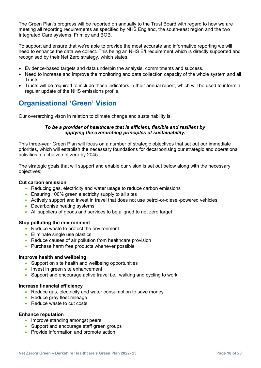The Green Plan's progress will be reported on annually to the Trust Board with regard to how we are meeting all reporting requirements as specified by NHS England, the south-east region and the two Integrated Care systems, Frimley and BOB.

To support and ensure that we're able to provide the most accurate and informative reporting we will need to enhance the data we collect. This being an NHS E/I requirement which is directly supported and recognised by their Net Zero strategy, which states.

- Evidence-based targets and data underpin the analysis, commitments and success.
- Need to increase and improve the monitoring and data collection capacity of the whole system and all Trusts.
- Trusts will be required to include these indicators in their annual report, which will be used to inform a regular update of the NHS emissions profile.

# <span id="page-9-0"></span>**Organisational 'Green' Vision**

Our overarching vison in relation to climate change and sustainability is.

#### *To be a provider of healthcare that is efficient, flexible and resilient by applying the overarching principles of sustainability.*

This three-year Green Plan will focus on a number of strategic objectives that set out our immediate priorities, which will establish the necessary foundations for decarbonising our strategic and operational activities to achieve net zero by 2045.

The strategic goals that will support and enable our vision is set out below along with the necessary objectives;

#### **Cut carbon emission**

- Reducing gas, electricity and water usage to reduce carbon emissions
- Ensuring 100% green electricity supply to all sites
- Actively support and invest in travel that does not use petrol-or-diesel-powered vehicles
- Decarbonise heating systems
- All suppliers of goods and services to be aligned to net zero target

#### **Stop polluting the environment**

- Reduce waste to protect the environment
- Eliminate single use plastics
- Reduce causes of air pollution from healthcare provision
- Purchase harm free products whenever possible

#### **Improve health and wellbeing**

- Support on site health and wellbeing opportunities
- Invest in green site enhancement
- Support and encourage active travel i.e., walking and cycling to work.

#### **Increase financial efficiency**

- Reduce gas, electricity and water consumption to save money
- Reduce grey fleet mileage
- Reduce waste to cut costs

#### **Enhance reputation**

- Improve standing amongst peers
- Support and encourage staff green groups
- Provide information and promote action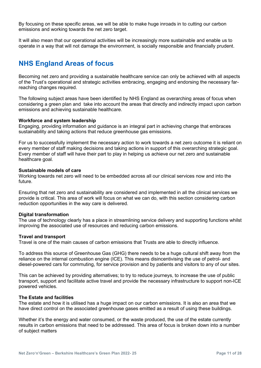By focusing on these specific areas, we will be able to make huge inroads in to cutting our carbon emissions and working towards the net zero target.

It will also mean that our operational activities will be increasingly more sustainable and enable us to operate in a way that will not damage the environment, is socially responsible and financially prudent.

# <span id="page-10-0"></span>**NHS England Areas of focus**

Becoming net zero and providing a sustainable healthcare service can only be achieved with all aspects of the Trust's operational and strategic activities embracing, engaging and endorsing the necessary farreaching changes required.

The following subject areas have been identified by NHS England as overarching areas of focus when considering a green plan and take into account the areas that directly and indirectly impact upon carbon emissions and achieving sustainable healthcare.

#### **Workforce and system leadership**

Engaging, providing information and guidance is an integral part in achieving change that embraces sustainability and taking actions that reduce greenhouse gas emissions.

For us to successfully implement the necessary action to work towards a net zero outcome it is reliant on every member of staff making decisions and taking actions in support of this overarching strategic goal. Every member of staff will have their part to play in helping us achieve our net zero and sustainable healthcare goal.

#### **Sustainable models of care**

Working towards net zero will need to be embedded across all our clinical services now and into the future.

Ensuring that net zero and sustainability are considered and implemented in all the clinical services we provide is critical. This area of work will focus on what we can do, with this section considering carbon reduction opportunities in the way care is delivered.

#### **Digital transformation**

The use of technology clearly has a place in streamlining service delivery and supporting functions whilst improving the associated use of resources and reducing carbon emissions.

#### **Travel and transport**

Travel is one of the main causes of carbon emissions that Trusts are able to directly influence.

To address this source of Greenhouse Gas (GHG) there needs to be a huge cultural shift away from the reliance on the internal combustion engine (ICE). This means disincentivising the use of petrol- and diesel-powered cars for commuting, for service provision and by patients and visitors to any of our sites.

This can be achieved by providing alternatives; to try to reduce journeys, to increase the use of public transport, support and facilitate active travel and provide the necessary infrastructure to support non-ICE powered vehicles.

#### **The Estate and facilities**

The estate and how it is utilised has a huge impact on our carbon emissions. It is also an area that we have direct control on the associated greenhouse gases emitted as a result of using these buildings.

Whether it's the energy and water consumed, or the waste produced, the use of the estate currently results in carbon emissions that need to be addressed. This area of focus is broken down into a number of subject matters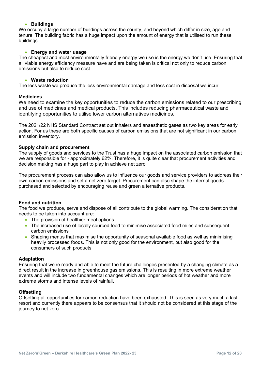#### • **Buildings**

We occupy a large number of buildings across the county, and beyond which differ in size, age and tenure. The building fabric has a huge impact upon the amount of energy that is utilised to run these buildings.

#### • **Energy and water usage**

The cheapest and most environmentally friendly energy we use is the energy we don't use. Ensuring that all viable energy efficiency measure have and are being taken is critical not only to reduce carbon emissions but also to reduce cost.

#### • **Waste reduction**

The less waste we produce the less environmental damage and less cost in disposal we incur.

#### **Medicines**

We need to examine the key opportunities to reduce the carbon emissions related to our prescribing and use of medicines and medical products. This includes reducing pharmaceutical waste and identifying opportunities to utilise lower carbon alternatives medicines.

The 2021/22 NHS Standard Contract set out inhalers and anaesthetic gases as two key areas for early action. For us these are both specific causes of carbon emissions that are not significant in our carbon emission inventory.

#### **Supply chain and procurement**

The supply of goods and services to the Trust has a huge impact on the associated carbon emission that we are responsible for - approximately 62%. Therefore, it is quite clear that procurement activities and decision making has a huge part to play in achieve net zero.

The procurement process can also allow us to influence our goods and service providers to address their own carbon emissions and set a net zero target. Procurement can also shape the internal goods purchased and selected by encouraging reuse and green alternative products.

#### **Food and nutrition**

The food we produce, serve and dispose of all contribute to the global warming. The consideration that needs to be taken into account are:

- The provision of healthier meal options
- The increased use of locally sourced food to minimise associated food miles and subsequent carbon emissions
- Shaping menus that maximise the opportunity of seasonal available food as well as minimising heavily processed foods. This is not only good for the environment, but also good for the consumers of such products

#### **Adaptation**

Ensuring that we're ready and able to meet the future challenges presented by a changing climate as a direct result in the increase in greenhouse gas emissions. This is resulting in more extreme weather events and will include two fundamental changes which are longer periods of hot weather and more extreme storms and intense levels of rainfall.

#### **Offsetting**

<span id="page-11-0"></span>Offsetting all opportunities for carbon reduction have been exhausted. This is seen as very much a last resort and currently there appears to be consensus that it should not be considered at this stage of the journey to net zero.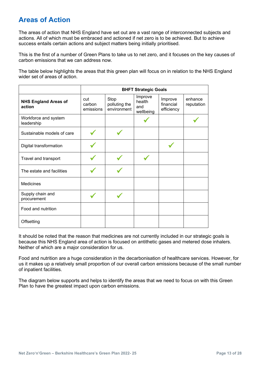# **Areas of Action**

The areas of action that NHS England have set out are a vast range of interconnected subjects and actions. All of which must be embraced and actioned if net zero is to be achieved. But to achieve success entails certain actions and subject matters being initially prioritised.

This is the first of a number of Green Plans to take us to net zero, and it focuses on the key causes of carbon emissions that we can address now.

The table below highlights the areas that this green plan will focus on in relation to the NHS England wider set of areas of action

|                                       |                            |                                      | <b>BHFT Strategic Goals</b>           |                                    |                       |
|---------------------------------------|----------------------------|--------------------------------------|---------------------------------------|------------------------------------|-----------------------|
| <b>NHS England Areas of</b><br>action | cut<br>carbon<br>emissions | Stop<br>polluting the<br>environment | Improve<br>health<br>and<br>wellbeing | Improve<br>financial<br>efficiency | enhance<br>reputation |
| Workforce and system<br>leadership    |                            |                                      |                                       |                                    |                       |
| Sustainable models of care            |                            |                                      |                                       |                                    |                       |
| Digital transformation                |                            |                                      |                                       |                                    |                       |
| Travel and transport                  |                            |                                      |                                       |                                    |                       |
| The estate and facilities             |                            |                                      |                                       |                                    |                       |
| <b>Medicines</b>                      |                            |                                      |                                       |                                    |                       |
| Supply chain and<br>procurement       |                            |                                      |                                       |                                    |                       |
| Food and nutrition                    |                            |                                      |                                       |                                    |                       |
| Offsetting                            |                            |                                      |                                       |                                    |                       |

It should be noted that the reason that medicines are not currently included in our strategic goals is because this NHS England area of action is focused on antithetic gases and metered dose inhalers. Neither of which are a major consideration for us.

Food and nutrition are a huge consideration in the decarbonisation of healthcare services. However, for us it makes up a relatively small proportion of our overall carbon emissions because of the small number of inpatient facilities.

The diagram below supports and helps to identify the areas that we need to focus on with this Green Plan to have the greatest impact upon carbon emissions.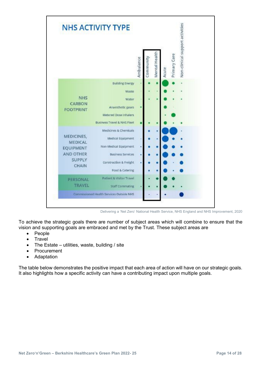

Delivering a 'Net Zero' National Health Service, NHS England and NHS Improvement, 2020

To achieve the strategic goals there are number of subject areas which will combine to ensure that the vision and supporting goals are embraced and met by the Trust. These subject areas are

- People
- Travel
- The Estate utilities, waste, building / site
- Procurement
- Adaptation

The table below demonstrates the positive impact that each area of action will have on our strategic goals. It also highlights how a specific activity can have a contributing impact upon multiple goals.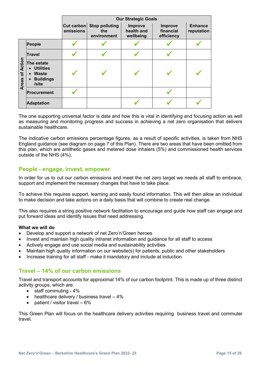|                           |                                                                                                                    |                           |                                             | <b>Our Strategic Goals</b>         |                                           |                              |
|---------------------------|--------------------------------------------------------------------------------------------------------------------|---------------------------|---------------------------------------------|------------------------------------|-------------------------------------------|------------------------------|
|                           |                                                                                                                    | $Cut$ carbon<br>emissions | <b>Stop polluting</b><br>the<br>environment | Improve<br>health and<br>wellbeing | <b>Improve</b><br>financial<br>efficiency | <b>Enhance</b><br>reputation |
|                           | People                                                                                                             |                           |                                             |                                    |                                           |                              |
|                           | <b>Travel</b>                                                                                                      |                           |                                             |                                    |                                           |                              |
| of Action<br><b>Areas</b> | The estate<br><b>Utilities</b><br>$\bullet$<br><b>Waste</b><br>$\bullet$<br><b>Buildings</b><br>$\bullet$<br>/site |                           |                                             |                                    |                                           |                              |
|                           | Procurement                                                                                                        |                           |                                             |                                    |                                           |                              |
|                           | <b>Adaptation</b>                                                                                                  |                           |                                             |                                    |                                           |                              |

The one supporting universal factor is data and how this is vital in identifying and focusing action as well as measuring and monitoring progress and success in achieving a net zero organisation that delivers sustainable healthcare.

The indicative carbon emissions percentage figures, as a result of specific activities, is taken from NHS England guidance (see diagram on page 7 of this Plan). There are two areas that have been omitted from this plan, which are antithetic gases and metered dose inhalers (5%) and commissioned health services outside of the NHS (4%).

# <span id="page-14-0"></span>**People - engage, invest, empower**

In order for us to cut our carbon emissions and meet the net zero target we needs all staff to embrace, support and implement the necessary changes that have to take place.

To achieve this requires support, learning and easily found information. This will then allow an individual to make decision and take actions on a daily basis that will combine to create real change.

This also requires a string positive network facilitation to encourage and guide how staff can engage and put forward ideas and identify issues that need addressing.

#### **What we will do**

- Develop and support a network of net Zero'n'Green heroes
- Invest and maintain high quality intranet information and guidance for all staff to access
- Actively engage and use social media and sustainability activities
- Maintain high quality information on our website(s) for patients, public and other stakeholders
- Increase training for all staff make it mandatory and include at induction

# <span id="page-14-1"></span>**Travel – 14% of our carbon emissions**

Travel and transport accounts for approximal 14% of our carbon footprint. This is made up of three distinct activity groups, which are.

- staff commuting 4%
- healthcare delivery / business travel 4%
- patient / visitor travel 6%

This Green Plan will focus on the healthcare delivery activities requiring business travel and commuter travel.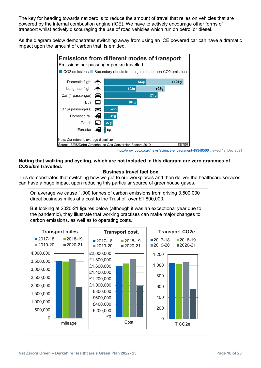The key for heading towards net zero is to reduce the amount of travel that relies on vehicles that are powered by the internal combustion engine (ICE). We have to actively encourage other forms of transport whilst actively discouraging the use of road vehicles which run on petrol or diesel.

As the diagram below demonstrates switching away from using an ICE powered car can have a dramatic impact upon the amount of carbon that is emitted.



<https://www.bbc.co.uk/news/science-environment-49349566> viewed 1st Dec 2021

#### **Noting that walking and cycling, which are not included in this diagram are zero grammes of CO2e/km travelled.**

### **Business travel fact box**

This demonstrates that switching how we get to our workplaces and then deliver the healthcare services can have a huge impact upon reducing this particular source of greenhouse gases.

On average we cause 1,000 tonnes of carbon emissions from driving 3,500,000 direct business miles at a cost to the Trust of over £1,800,000.

But looking at 2020-21 figures below (although it was an exceptional year due to the pandemic), they illustrate that working practises can make major changes to carbon emissions, as well as to operating costs.

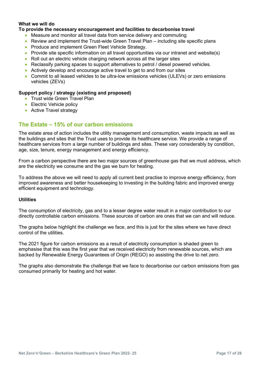### **What we will do**

#### **To provide the necessary encouragement and facilities to decarbonise travel**

- Measure and monitor all travel data from service delivery and commuting
- Review and implement the Trust-wide Green Travel Plan including site specific plans
- Produce and implement Green Fleet Vehicle Strategy.
- Provide site specific information on all travel opportunities via our intranet and website(s)
- Roll out an electric vehicle charging network across all the larger sites
- Reclassify parking spaces to support alternatives to petrol / diesel powered vehicles.
- Actively develop and encourage active travel to get to and from our sites
- Commit to all leased vehicles to be ultra-low emissions vehicles (ULEVs) or zero emissions vehicles (ZEVs)

#### **Support policy / strategy (existing and proposed)**

- Trust wide Green Travel Plan
- Electric Vehicle policy
- Active Travel strategy

# <span id="page-16-0"></span>**The Estate – 15% of our carbon emissions**

The estate area of action includes the utility management and consumption, waste impacts as well as the buildings and sites that the Trust uses to provide its healthcare service. We provide a range of healthcare services from a large number of buildings and sites. These vary considerably by condition, age, size, tenure, energy management and energy efficiency.

From a carbon perspective there are two major sources of greenhouse gas that we must address, which are the electricity we consume and the gas we burn for heating.

To address the above we will need to apply all current best practise to improve energy efficiency, from improved awareness and better housekeeping to investing in the building fabric and improved energy efficient equipment and technology.

#### **Utilities**

The consumption of electricity, gas and to a lesser degree water result in a major contribution to our directly controllable carbon emissions. These sources of carbon are ones that we can and will reduce.

The graphs below highlight the challenge we face, and this is just for the sites where we have direct control of the utilities.

The 2021 figure for carbon emissions as a result of electricity consumption is shaded green to emphasise that this was the first year that we received electricity from renewable sources, which are backed by Renewable Energy Guarantees of Origin (REGO) so assisting the drive to net zero.

The graphs also demonstrate the challenge that we face to decarbonise our carbon emissions from gas consumed primarily for heating and hot water.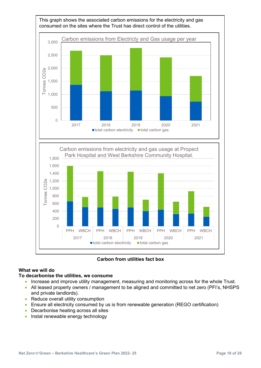

**Carbon from utilities fact box** 

# **What we will do**

### **To decarbonise the utilities, we consume**

- Increase and improve utility management, measuring and monitoring across for the whole Trust.
- All leased property owners / management to be aligned and committed to net zero (PFI's, NHSPS and private landlords).
- Reduce overall utility consumption
- Ensure all electricity consumed by us is from renewable generation (REGO certification)
- Decarbonise heating across all sites
- Instal renewable energy technology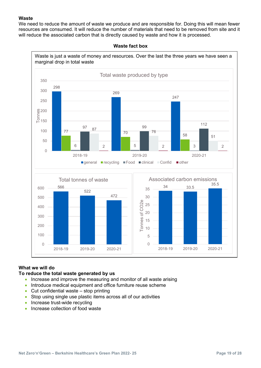#### **Waste**

We need to reduce the amount of waste we produce and are responsible for. Doing this will mean fewer resources are consumed. It will reduce the number of materials that need to be removed from site and it will reduce the associated carbon that is directly caused by waste and how it is processed.



**Waste fact box**

# **What we will do**

### **To reduce the total waste generated by us**

- Increase and improve the measuring and monitor of all waste arising
- Introduce medical equipment and office furniture reuse scheme
- Cut confidential waste stop printing
- Stop using single use plastic items across all of our activities
- Increase trust-wide recycling
- Increase collection of food waste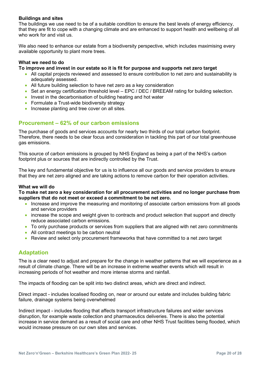#### **Buildings and sites**

The buildings we use need to be of a suitable condition to ensure the best levels of energy efficiency, that they are fit to cope with a changing climate and are enhanced to support health and wellbeing of all who work for and visit us.

We also need to enhance our estate from a biodiversity perspective, which includes maximising every available opportunity to plant more trees.

#### **What we need to do**

#### **To improve and invest in our estate so it is fit for purpose and supports net zero target**

- All capital projects reviewed and assessed to ensure contribution to net zero and sustainability is adequately assessed.
- All future building selection to have net zero as a key consideration
- Set an energy certification threshold level EPC / DEC / BREEAM rating for building selection.
- Invest in the decarbonisation of building heating and hot water
- Formulate a Trust-wide biodiversity strategy
- Increase planting and tree cover on all sites.

# <span id="page-19-0"></span>**Procurement – 62% of our carbon emissions**

The purchase of goods and services accounts for nearly two thirds of our total carbon footprint. Therefore, there needs to be clear focus and consideration in tackling this part of our total greenhouse gas emissions.

This source of carbon emissions is grouped by NHS England as being a part of the NHS's carbon footprint plus or sources that are indirectly controlled by the Trust.

The key and fundamental objective for us is to influence all our goods and service providers to ensure that they are net zero aligned and are taking actions to remove carbon for their operation activities.

#### **What we will do**

**To make net zero a key consideration for all procurement activities and no longer purchase from suppliers that do not meet or exceed a commitment to be net zero.**

- Increase and improve the measuring and monitoring of associate carbon emissions from all goods and service providers
- increase the scope and weight given to contracts and product selection that support and directly reduce associated carbon emissions.
- To only purchase products or services from suppliers that are aligned with net zero commitments
- All contract meetings to be carbon neutral
- Review and select only procurement frameworks that have committed to a net zero target

### <span id="page-19-1"></span>**Adaptation**

The is a clear need to adjust and prepare for the change in weather patterns that we will experience as a result of climate change. There will be an increase in extreme weather events which will result in increasing periods of hot weather and more intense storms and rainfall.

The impacts of flooding can be split into two distinct areas, which are direct and indirect.

Direct impact - includes localised flooding on, near or around our estate and includes building fabric failure, drainage systems being overwhelmed

Indirect impact - includes flooding that affects transport infrastructure failures and wider services disruption, for example waste collection and pharmaceutics deliveries. There is also the potential increase in service demand as a result of social care and other NHS Trust facilities being flooded, which would increase pressure on our own sites and services.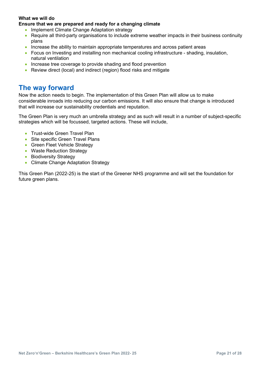### **What we will do**

#### **Ensure that we are prepared and ready for a changing climate**

- Implement Climate Change Adaptation strategy
- Require all third-party organisations to include extreme weather impacts in their business continuity plans
- Increase the ability to maintain appropriate temperatures and across patient areas
- Focus on Investing and installing non mechanical cooling infrastructure shading, insulation, natural ventilation
- Increase tree coverage to provide shading and flood prevention
- Review direct (local) and indirect (region) flood risks and mitigate

# <span id="page-20-0"></span>**The way forward**

Now the action needs to begin. The implementation of this Green Plan will allow us to make considerable inroads into reducing our carbon emissions. It will also ensure that change is introduced that will increase our sustainability credentials and reputation.

The Green Plan is very much an umbrella strategy and as such will result in a number of subject-specific strategies which will be focussed, targeted actions. These will include,

- Trust-wide Green Travel Plan
- Site specific Green Travel Plans
- Green Fleet Vehicle Strategy
- Waste Reduction Strategy
- Biodiversity Strategy
- Climate Change Adaptation Strategy

This Green Plan (2022-25) is the start of the Greener NHS programme and will set the foundation for future green plans.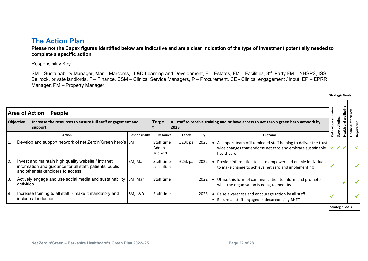# **The Action Plan**

**Please not the Capex figures identified below are indicative and are a clear indication of the type of investment potentially needed to complete a specific action.** 

Responsibility Key

SM – Sustainability Manager, Mar – Marcoms, L&D-Learning and Development, E – Estates, FM – Facilities, 3<sup>rd</sup> Party FM – NHSPS, ISS, Bellrock, private landlords, F – Finance, CSM – Clinical Service Managers, P – Procurement, CE - Clinical engagement / input, EP – EPRR Manager, PM – Property Manager

<span id="page-21-0"></span>

|                | <b>Area of Action</b> |                      | People                                                                                                                                              |                       |                                |         |      |                                                                                                                                             | emission |                | eing<br><u>dl</u> ew   |                      |              |
|----------------|-----------------------|----------------------|-----------------------------------------------------------------------------------------------------------------------------------------------------|-----------------------|--------------------------------|---------|------|---------------------------------------------------------------------------------------------------------------------------------------------|----------|----------------|------------------------|----------------------|--------------|
|                | <b>Objective</b>      | support.             | Increase the resources to ensure full staff engagement and                                                                                          |                       | <b>Targe</b>                   | 2023    |      | All staff to receive training and or have access to net zero n green hero network by                                                        | carbon   | Stop polluting | and<br>Fi              | efficie<br>Financial |              |
|                |                       |                      | <b>Action</b>                                                                                                                                       | <b>Responsibility</b> | <b>Resource</b>                | Capex   | By   | Outcome                                                                                                                                     | ă        |                | Health                 |                      | 훋            |
| $\vert$ 1      |                       |                      | Develop and support network of net Zero'n'Green hero's SM,                                                                                          |                       | Staff time<br>Admin<br>support | £20K pa | 2023 | A support team of likeminded staff helping to deliver the trust<br>wide changes that endorse net zero and embrace sustainable<br>healthcare |          | ノイイ            |                        |                      | ✓            |
| 2.             |                       |                      | Invest and maintain high quality website / intranet<br>information and guidance for all staff, patients, public<br>and other stakeholders to access | SM, Mar               | Staff time<br>consultant       | £25k pa | 2022 | Provide information to all to empower and enable individuals<br>to make change to achieve net zero and implementing                         |          |                |                        |                      |              |
| 3.             | activities            |                      | Actively engage and use social media and sustainability                                                                                             | SM, Mar               | Staff time                     |         | 2022 | Utilise this form of communication to inform and promote<br>what the organisation is doing to meet its                                      |          |                |                        |                      | ✔            |
| $\overline{4}$ |                       | include at induction | Increase training to all staff - make it mandatory and                                                                                              | SM, L&D               | Staff time                     |         | 2023 | Raise awareness and encourage action by all staff<br>$\bullet$<br>• Ensure all staff engaged in decarbonising BHFT                          |          |                |                        |                      | $\checkmark$ |
|                |                       |                      |                                                                                                                                                     |                       |                                |         |      |                                                                                                                                             |          |                | <b>Strategic Goals</b> |                      |              |

**Strategic Goals**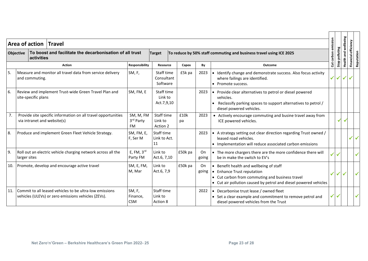|     | <b>Objective</b> | Area of action Travel<br>activities | To boost and facilitate the decarbonisation of all trust                                                       |                                     | <b>Target</b>                        |            |              | To reduce by 50% staff commuting and business travel using ICE 2025                                                                                                                          | emission<br>carbon               | Stop polluting | <b>Health and wellbeing</b>            | Financial efficiency |              |
|-----|------------------|-------------------------------------|----------------------------------------------------------------------------------------------------------------|-------------------------------------|--------------------------------------|------------|--------------|----------------------------------------------------------------------------------------------------------------------------------------------------------------------------------------------|----------------------------------|----------------|----------------------------------------|----------------------|--------------|
|     |                  |                                     | <b>Action</b>                                                                                                  | Responsibility                      | Resource                             | Capex      | By           | <b>Outcome</b>                                                                                                                                                                               | $\boldsymbol{\ddot{\mathbf{5}}}$ |                |                                        |                      | Reputation   |
| 5.  |                  | and commuting.                      | Measure and monitor all travel data from service delivery                                                      | SM, F,                              | Staff time<br>Consultant<br>Software | £5k pa     | 2023         | • Identify change and demonstrate success. Also focus activity<br>where failings are identified.<br>Promote success.                                                                         |                                  |                | $\checkmark$ $\checkmark$ $\checkmark$ | $\checkmark$         |              |
| 6.  |                  | site-specific plans                 | Review and implement Trust-wide Green Travel Plan and                                                          | SM, FM, E                           | Staff time<br>Link to<br>Act.7,9,10  |            | 2023         | • Provide clear alternatives to petrol or diesel powered<br>vehicles.<br>Reclassify parking spaces to support alternatives to petrol /<br>diesel powered vehicles.                           |                                  |                |                                        |                      |              |
| 7.  |                  |                                     | Provide site specific information on all travel opportunities<br>via intranet and website(s)                   | SM, M, FM<br>3rd Party<br><b>FM</b> | Staff time<br>Link to<br>Action 2    | £10k<br>pa | 2023         | • Actively encourage commuting and busine travel away from<br>ICE powered vehicles.                                                                                                          |                                  | ✔              | $\checkmark$                           |                      |              |
| 8.  |                  |                                     | Produce and implement Green Fleet Vehicle Strategy.                                                            | SM, FM, E,<br>F, Ser M              | Staff time<br>Link to Act.<br>11     |            | 2023         | • A strategy setting out clear direction regarding Trust owned /<br>leased road vehicles.<br>• Implementation will reduce associated carbon emissions                                        |                                  |                |                                        | $\checkmark$         | $\checkmark$ |
| 9.  | larger sites     |                                     | Roll out an electric vehicle charging network across all the                                                   | E, FM, $3rd$<br>Party FM            | Link to<br>Act.6, 7,10               | £50k pa    | On.<br>going | • The more chargers there are the more confidence there will<br>be in make the switch to EV's                                                                                                |                                  | $\checkmark$   |                                        |                      |              |
|     |                  |                                     | 10. Promote, develop and encourage active travel                                                               | SM, E, FM,<br>M, Mar                | Link to<br>Act.6, 7,9                | £50k pa    | On<br>going  | • Benefit health and wellbeing of staff<br>• Enhance Trust reputation<br>• Cut carbon from commuting and business travel<br>• Cut air pollution caused by petrol and diesel powered vehicles | ✔                                | ✔              |                                        |                      |              |
| 11. |                  |                                     | Commit to all leased vehicles to be ultra-low emissions<br>vehicles (ULEVs) or zero emissions vehicles (ZEVs). | SM, F,<br>Finance,<br><b>CSM</b>    | Staff time<br>Link to<br>Action 8    |            | 2022         | • Decarbonise trust lease / owned fleet<br>• Set a clear example and commitment to remove petrol and<br>diesel powered vehicles from the Trust                                               | $\checkmark$ $\checkmark$        |                |                                        |                      |              |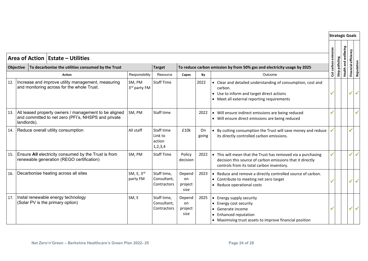|     | <b>Area of Action   Estate - Utilities</b>                                                                                  |                        |                                               |                                 |             |                                                                                                                                                                             | emission   |                | wellbeing  | Financial efficiency |              |
|-----|-----------------------------------------------------------------------------------------------------------------------------|------------------------|-----------------------------------------------|---------------------------------|-------------|-----------------------------------------------------------------------------------------------------------------------------------------------------------------------------|------------|----------------|------------|----------------------|--------------|
|     | Objective   To decarbonise the utilities consumed by the Trust                                                              |                        | <b>Target</b>                                 |                                 |             | To reduce carbon emission by from 50% gas and electricity usage by 2025                                                                                                     |            | Stop polluting | Health and |                      | Reputatio    |
|     | <b>Action</b>                                                                                                               | Responsibility         | Resource                                      | Capex                           | By          | Outcome                                                                                                                                                                     | $\ddot{5}$ |                |            |                      |              |
| 12. | Increase and improve utility management, measuring<br>and monitoring across for the whole Trust.                            | SM, PM<br>3rd party FM | <b>Staff Time</b>                             |                                 | 2022        | • Clear and detailed understanding of consumption, cost and<br>carbon.<br>• Use to inform and target direct actions<br>• Meet all external reporting requirements           | ✔          |                |            | ✓                    | $\checkmark$ |
| 13. | All leased property owners / management to be aligned<br>and committed to net zero (PFI's, NHSPS and private<br>landlords). | SM, PM                 | Staff time                                    |                                 | 2022        | • Will ensure indirect emissions are being reduced<br>• Will ensure direct emissions are being reduced                                                                      |            |                |            |                      |              |
| 14. | Reduce overall utility consumption                                                                                          | All staff              | Staff time<br>Link to<br>action<br>1, 2, 3, 4 | £10k                            | On<br>going | • By cutting consumption the Trust will save money and reduce<br>its directly controlled carbon emissions.                                                                  |            |                |            | √                    |              |
| 15. | Ensure All electricity consumed by the Trust is from<br>renewable generation (REGO certification)                           | SM, PM                 | <b>Staff Time</b>                             | Policy<br>decision              | 2022        | • This will mean that the Trust has removed via a purchasing<br>decision this source of carbon emissions that it directly<br>controls from its total carbon inventory.      |            |                |            | $\checkmark$         | $\checkmark$ |
| 16. | Decarbonise heating across all sites                                                                                        | SM, E, 3rd<br>party FM | Staff time,<br>Consultant,<br>Contractors     | Depend<br>on<br>project<br>size | 2023        | • Reduce and remove a directly controlled source of carbon.<br>• Contribute to meeting net zero target<br>• Reduce operational costs                                        |            |                |            | ✓                    | $\checkmark$ |
| 17. | Instal renewable energy technology<br>(Solar PV is the primary option)                                                      | SM, E                  | Staff time,<br>Consultant.<br>Contractors     | Depend<br>on<br>project<br>size | 2025        | • Energy supply security<br>• Energy cost security<br>Generate income<br><b>Enhanced reputation</b><br>$\bullet$<br>• Maximising trust assets to improve financial position |            |                |            | ✓                    | $\checkmark$ |

**Strategic Goals**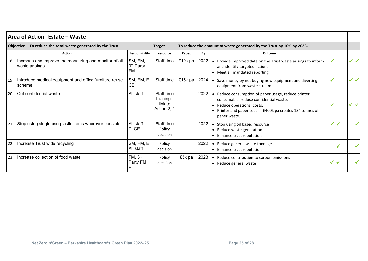|     |           | Area of Action   Estate – Waste                                          |                                      |                                                      |         |      |                                                                                                                                                                                                                    |   |  |              |              |
|-----|-----------|--------------------------------------------------------------------------|--------------------------------------|------------------------------------------------------|---------|------|--------------------------------------------------------------------------------------------------------------------------------------------------------------------------------------------------------------------|---|--|--------------|--------------|
|     | Objective | To reduce the total waste generated by the Trust                         |                                      | <b>Target</b>                                        |         |      | To reduce the amount of waste generated by the Trust by 10% by 2023.                                                                                                                                               |   |  |              |              |
|     |           | <b>Action</b>                                                            | Responsibility                       | resource                                             | Capex   | By   | Outcome                                                                                                                                                                                                            |   |  |              |              |
| 18. |           | Increase and improve the measuring and monitor of all<br>waste arisings. | SM, FM,<br>3rd Party<br>FM           | Staff time                                           | £10k pa | 2022 | • Provide improved data on the Trust waste arisings to inform<br>and identify targeted actions.<br>• Meet all mandated reporting.                                                                                  |   |  | $\checkmark$ | $\checkmark$ |
| 19. | scheme    | Introduce medical equipment and office furniture reuse                   | SM, FM, E,<br><b>CE</b>              | Staff time                                           | £15k pa | 2024 | • Save money by not buying new equipment and diverting<br>equipment from waste stream                                                                                                                              |   |  | $\checkmark$ |              |
| 20. |           | Cut confidential waste                                                   | All staff                            | Staff time<br>$Training -$<br>link to<br>Action 2, 4 |         | 2022 | Reduce consumption of paper usage, reduce printer<br>consumable, reduce confidential waste.<br>Reduce operational costs.<br>Printer and paper cost = $£400k$ pa creates 134 tonnes of<br>$\bullet$<br>paper waste. |   |  | ✔            |              |
| 21. |           | Stop using single use plastic items wherever possible.                   | All staff<br>P, CE                   | Staff time<br>Policy<br>decision                     |         | 2022 | • Stop using oil based resource<br>Reduce waste generation<br>$\bullet$<br>• Enhance trust reputation                                                                                                              |   |  |              | ✓            |
| 22. |           | Increase Trust wide recycling                                            | SM, FM, E<br>All staff               | Policy<br>decision                                   |         | 2022 | Reduce general waste tonnage<br>• Enhance trust reputation                                                                                                                                                         |   |  |              |              |
| 23. |           | Increase collection of food waste                                        | FM, 3 <sup>rd</sup><br>Party FM<br>P | Policy<br>decision                                   | £5k pa  | 2023 | • Reduce contribution to carbon emissions<br>• Reduce general waste                                                                                                                                                | ✓ |  |              |              |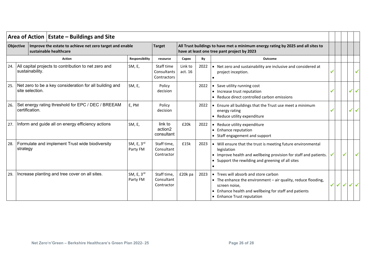|     |                                                                                                                                                                                                                                                                                                                                                                                                                                       | Improve the estate to achieve net zero target and enable<br>sustainable healthcare |                                       | <b>Target</b>                            |                    |      | All Trust buildings to have met a minimum energy rating by 2025 and all sites to<br>have at least one tree pant project by 2023                                                                             |  |              |              |
|-----|---------------------------------------------------------------------------------------------------------------------------------------------------------------------------------------------------------------------------------------------------------------------------------------------------------------------------------------------------------------------------------------------------------------------------------------|------------------------------------------------------------------------------------|---------------------------------------|------------------------------------------|--------------------|------|-------------------------------------------------------------------------------------------------------------------------------------------------------------------------------------------------------------|--|--------------|--------------|
|     | Area of Action   Estate – Buildings and Site<br>Objective<br><b>Action</b><br>24.   All capital projects to contribution to net zero and<br>sustainability.<br>Net zero to be a key consideration for all building and<br>site selection.<br>Set energy rating threshold for EPC / DEC / BREEAM<br>certification.<br>Inform and guide all on energy efficiency actions<br>Formulate and implement Trust wide biodiversity<br>strategy |                                                                                    | Responsibility                        | resource                                 | Capex              | By   | Outcome                                                                                                                                                                                                     |  |              |              |
|     |                                                                                                                                                                                                                                                                                                                                                                                                                                       |                                                                                    | SM, E,                                | Staff time<br>Consultants<br>Contractors | Link to<br>act. 16 | 2022 | • Net zero and sustainability are inclusive and considered at<br>project inception.                                                                                                                         |  |              |              |
| 25. |                                                                                                                                                                                                                                                                                                                                                                                                                                       |                                                                                    | SM, E,                                | Policy<br>decision                       |                    | 2022 | • Save utility running cost<br>• Increase trust reputation<br>• Reduce direct controlled carbon emissions                                                                                                   |  | $\checkmark$ | $\checkmark$ |
| 26. |                                                                                                                                                                                                                                                                                                                                                                                                                                       |                                                                                    | E, PM                                 | Policy<br>decision                       |                    | 2022 | Ensure all buildings that the Trust use meet a minimum<br>energy rating<br>Reduce utility expenditure                                                                                                       |  | $\checkmark$ |              |
| 27. |                                                                                                                                                                                                                                                                                                                                                                                                                                       |                                                                                    | SM, E,                                | link to<br>action2<br>consultant         | £20k               | 2022 | • Reduce utility expenditure<br>• Enhance reputation<br>• Staff engagement and support                                                                                                                      |  |              |              |
| 28. |                                                                                                                                                                                                                                                                                                                                                                                                                                       |                                                                                    | SM, E, 3rd<br>Party FM                | Staff time,<br>Consultant<br>Contractor  | £15k               | 2023 | • Will ensure that the trust is meeting future environmental<br>legislation<br>Improve health and wellbeing provision for staff and patients.<br>Support the rewilding and greening of all sites            |  |              |              |
| 29. |                                                                                                                                                                                                                                                                                                                                                                                                                                       | Increase planting and tree cover on all sites.                                     | SM, $E$ , $3^{\text{rd}}$<br>Party FM | Staff time,<br>Consultant<br>Contractor  | £20k pa            | 2023 | • Trees will absorb and store carbon<br>• The enhance the environment - air quality, reduce flooding,<br>screen noise,<br>Enhance health and wellbeing for staff and patients<br>• Enhance Trust reputation |  |              |              |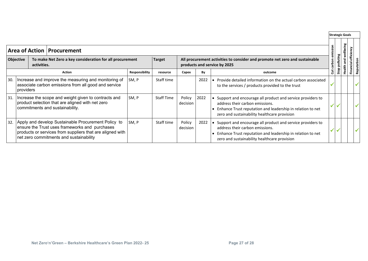|     |                  |             |                                                                                                                                                                                                               |                |                   |                    |      |                                                                                                                                                                                                             |         |           | <b>Strategic Goals</b> |                          |
|-----|------------------|-------------|---------------------------------------------------------------------------------------------------------------------------------------------------------------------------------------------------------------|----------------|-------------------|--------------------|------|-------------------------------------------------------------------------------------------------------------------------------------------------------------------------------------------------------------|---------|-----------|------------------------|--------------------------|
|     |                  |             | <b>Area of Action   Procurement</b>                                                                                                                                                                           |                |                   |                    |      |                                                                                                                                                                                                             | mission |           | wellbeing              |                          |
|     | <b>Objective</b> | activities. | To make Net Zero a key consideration for all procurement                                                                                                                                                      |                | <b>Target</b>     |                    |      | All procurement activities to consider and promote net zero and sustainable<br>products and service by 2025                                                                                                 | 훕       | polluting | and                    | efficier<br><b>lei</b> o |
|     |                  |             | <b>Action</b>                                                                                                                                                                                                 | Responsibility | resource          | Capex              | By   | outcome                                                                                                                                                                                                     | នី      | Stop      | Health                 | Fina<br>ទី               |
| 30. | providers        |             | Increase and improve the measuring and monitoring of<br>associate carbon emissions from all good and service                                                                                                  | SM, P          | Staff time        |                    | 2022 | Provide detailed information on the actual carbon associated<br>to the services / products provided to the trust                                                                                            |         |           |                        | ✔                        |
| 31. |                  |             | Increase the scope and weight given to contracts and<br>product selection that are aligned with net zero<br>commitments and sustainability.                                                                   | SM, P          | <b>Staff Time</b> | Policy<br>decision | 2022 | Support and encourage all product and service providers to<br>address their carbon emissions.<br>Enhance Trust reputation and leadership in relation to net<br>zero and sustainability healthcare provision |         |           |                        | ✓                        |
| 32. |                  |             | Apply and develop Sustainable Procurement Policy to<br>ensure the Trust uses frameworks and purchases<br>products or services from suppliers that are aligned with<br>net zero commitments and sustainability | SM, P          | Staff time        | Policy<br>decision | 2022 | Support and encourage all product and service providers to<br>address their carbon emissions.<br>Enhance Trust reputation and leadership in relation to net<br>zero and sustainability healthcare provision |         |           |                        | ✓                        |